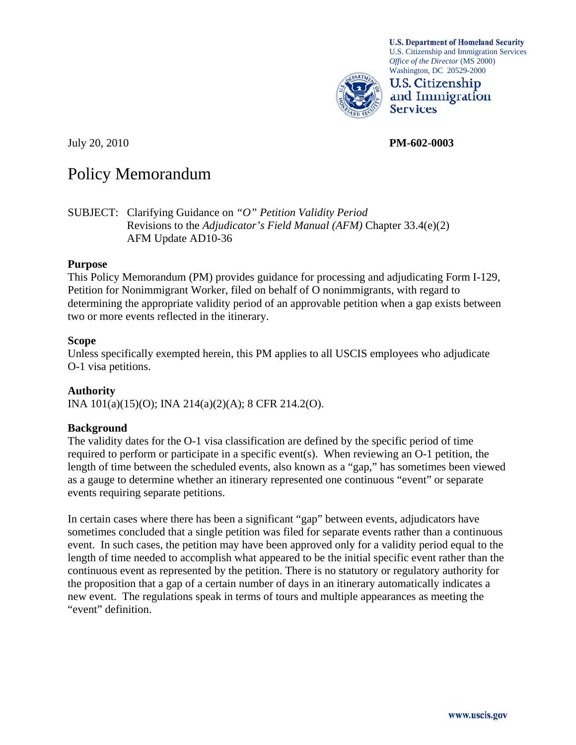

**U.S. Department of Homeland Security** U.S. Citizenship and Immigration Services *Office of the Director* (MS 2000) Washington, DC 20529-2000

**U.S. Citizenship** and Immigration **Services** 

July 20, 2010 **PM-602-0003** 

# Policy Memorandum

SUBJECT: Clarifying Guidance on *"O" Petition Validity Period* Revisions to the *Adjudicator's Field Manual (AFM)* Chapter 33.4(e)(2) AFM Update AD10-36

#### **Purpose**

This Policy Memorandum (PM) provides guidance for processing and adjudicating Form I-129, Petition for Nonimmigrant Worker, filed on behalf of O nonimmigrants, with regard to determining the appropriate validity period of an approvable petition when a gap exists between two or more events reflected in the itinerary.

#### **Scope**

Unless specifically exempted herein, this PM applies to all USCIS employees who adjudicate O-1 visa petitions.

#### **Authority**

INA 101(a)(15)(O); INA 214(a)(2)(A); 8 CFR 214.2(O).

#### **Background**

The validity dates for the O-1 visa classification are defined by the specific period of time required to perform or participate in a specific event(s). When reviewing an O-1 petition, the length of time between the scheduled events, also known as a "gap," has sometimes been viewed as a gauge to determine whether an itinerary represented one continuous "event" or separate events requiring separate petitions.

In certain cases where there has been a significant "gap" between events, adjudicators have sometimes concluded that a single petition was filed for separate events rather than a continuous event. In such cases, the petition may have been approved only for a validity period equal to the length of time needed to accomplish what appeared to be the initial specific event rather than the continuous event as represented by the petition. There is no statutory or regulatory authority for the proposition that a gap of a certain number of days in an itinerary automatically indicates a new event. The regulations speak in terms of tours and multiple appearances as meeting the "event" definition.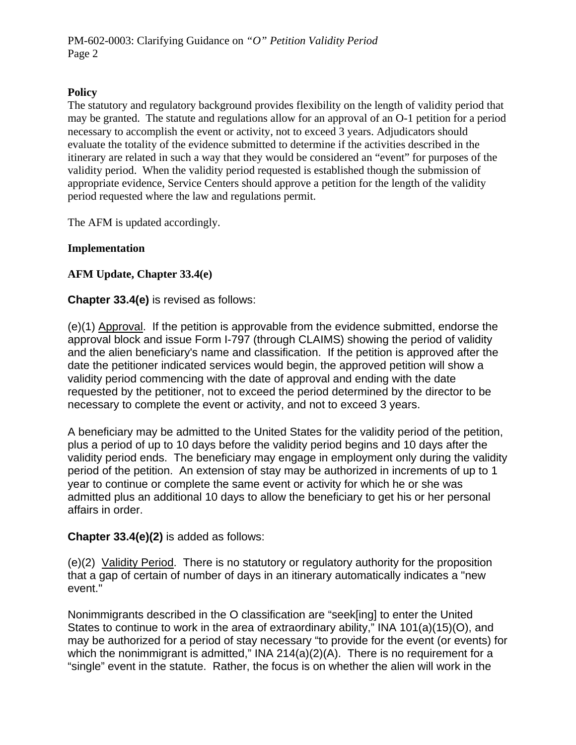## **Policy**

The statutory and regulatory background provides flexibility on the length of validity period that may be granted. The statute and regulations allow for an approval of an O-1 petition for a period necessary to accomplish the event or activity, not to exceed 3 years. Adjudicators should evaluate the totality of the evidence submitted to determine if the activities described in the itinerary are related in such a way that they would be considered an "event" for purposes of the validity period. When the validity period requested is established though the submission of appropriate evidence, Service Centers should approve a petition for the length of the validity period requested where the law and regulations permit.

The AFM is updated accordingly.

## **Implementation**

# **AFM Update, Chapter 33.4(e)**

# **Chapter 33.4(e)** is revised as follows:

(e)(1) Approval. If the petition is approvable from the evidence submitted, endorse the approval block and issue Form I-797 (through CLAIMS) showing the period of validity and the alien beneficiary's name and classification. If the petition is approved after the date the petitioner indicated services would begin, the approved petition will show a validity period commencing with the date of approval and ending with the date requested by the petitioner, not to exceed the period determined by the director to be necessary to complete the event or activity, and not to exceed 3 years.

A beneficiary may be admitted to the United States for the validity period of the petition, plus a period of up to 10 days before the validity period begins and 10 days after the validity period ends. The beneficiary may engage in employment only during the validity period of the petition. An extension of stay may be authorized in increments of up to 1 year to continue or complete the same event or activity for which he or she was admitted plus an additional 10 days to allow the beneficiary to get his or her personal affairs in order.

## **Chapter 33.4(e)(2)** is added as follows:

(e)(2) Validity Period. There is no statutory or regulatory authority for the proposition that a gap of certain of number of days in an itinerary automatically indicates a "new event."

Nonimmigrants described in the O classification are "seek[ing] to enter the United States to continue to work in the area of extraordinary ability," INA 101(a)(15)(O), and may be authorized for a period of stay necessary "to provide for the event (or events) for which the nonimmigrant is admitted," INA 214(a)(2)(A). There is no requirement for a "single" event in the statute. Rather, the focus is on whether the alien will work in the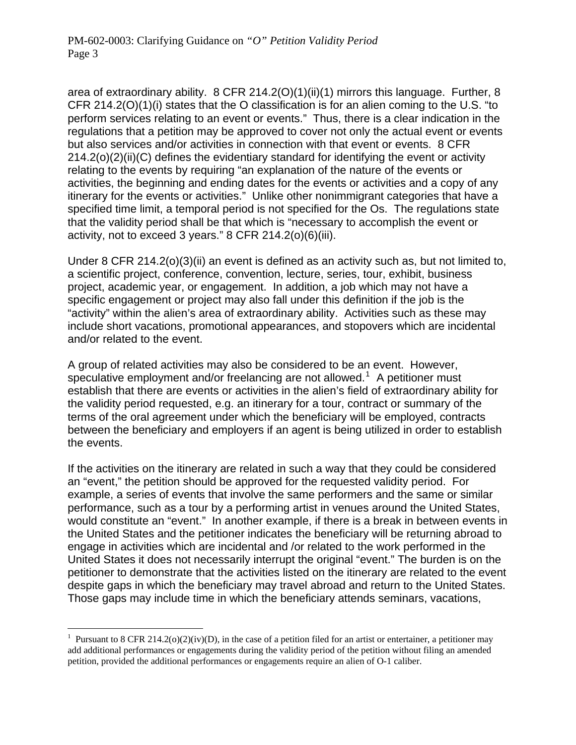area of extraordinary ability. 8 CFR 214.2(O)(1)(ii)(1) mirrors this language. Further, 8 CFR 214.2(O)(1)(i) states that the O classification is for an alien coming to the U.S. "to perform services relating to an event or events." Thus, there is a clear indication in the regulations that a petition may be approved to cover not only the actual event or events but also services and/or activities in connection with that event or events. 8 CFR 214.2(o)(2)(ii)(C) defines the evidentiary standard for identifying the event or activity relating to the events by requiring "an explanation of the nature of the events or activities, the beginning and ending dates for the events or activities and a copy of any itinerary for the events or activities." Unlike other nonimmigrant categories that have a specified time limit, a temporal period is not specified for the Os. The regulations state that the validity period shall be that which is "necessary to accomplish the event or activity, not to exceed 3 years." 8 CFR 214.2(o)(6)(iii).

Under 8 CFR 214.2(o)(3)(ii) an event is defined as an activity such as, but not limited to, a scientific project, conference, convention, lecture, series, tour, exhibit, business project, academic year, or engagement. In addition, a job which may not have a specific engagement or project may also fall under this definition if the job is the "activity" within the alien's area of extraordinary ability. Activities such as these may include short vacations, promotional appearances, and stopovers which are incidental and/or related to the event.

A group of related activities may also be considered to be an event. However, speculative employment and/or freelancing are not allowed.<sup>[1](#page-2-0)</sup> A petitioner must establish that there are events or activities in the alien's field of extraordinary ability for the validity period requested, e.g. an itinerary for a tour, contract or summary of the terms of the oral agreement under which the beneficiary will be employed, contracts between the beneficiary and employers if an agent is being utilized in order to establish the events.

If the activities on the itinerary are related in such a way that they could be considered an "event," the petition should be approved for the requested validity period. For example, a series of events that involve the same performers and the same or similar performance, such as a tour by a performing artist in venues around the United States, would constitute an "event." In another example, if there is a break in between events in the United States and the petitioner indicates the beneficiary will be returning abroad to engage in activities which are incidental and /or related to the work performed in the United States it does not necessarily interrupt the original "event." The burden is on the petitioner to demonstrate that the activities listed on the itinerary are related to the event despite gaps in which the beneficiary may travel abroad and return to the United States. Those gaps may include time in which the beneficiary attends seminars, vacations,

 $\overline{a}$ 

<span id="page-2-0"></span><sup>&</sup>lt;sup>1</sup> Pursuant to 8 CFR 214.2(o)(2)(iv)(D), in the case of a petition filed for an artist or entertainer, a petitioner may add additional performances or engagements during the validity period of the petition without filing an amended petition, provided the additional performances or engagements require an alien of O-1 caliber.